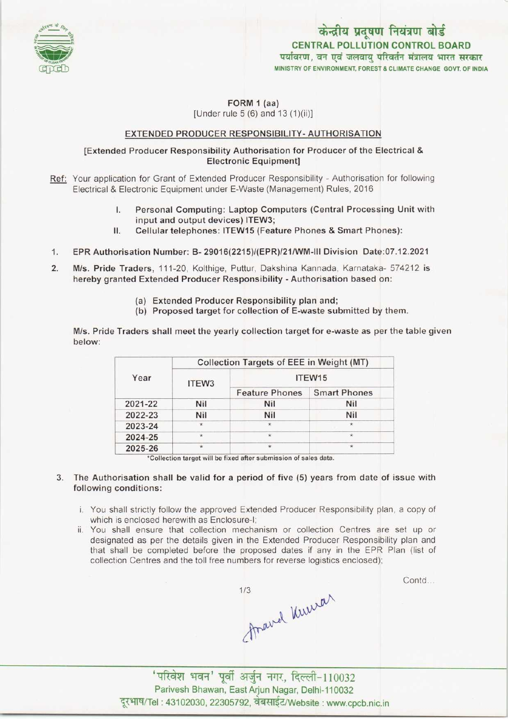

# MINISTRY OF ENVIRONMENT, FOREST & CLIMATE CHANGE GOVT. OF INDIA केन्द्रीय प्रदूषण नियंत्रण बोर्ड CENTRAL POLLUTION CONTROL BOARD<br>पर्यावरण, वन एवं जलवाय परिवर्तन मंत्रालय भारत सरकार

#### FORM 1 (aa) [Under rule 5 (6) and 13 (1)(ii)]

## EXTENDED PRODUCER RESPONSIBILITY-AUTHORISATION

### [Extended Producer Responsibility Authorisation for Producer ofthe Electrical & Electronic Equipment]

- Ref: Your application for Grant of Extended Producer Responsibility Authorisation for following Electrical & Electronic Equipment under E-Waste (Management) Rules, 2016
	- I. Personal Computing: Laptop Computers(Central Processing Unit with input and output devices) ITEW3;
	- II. Cellular telephones: ITEW15 (Feature Phones & Smart Phones):
- 1. Cellular telephones: ITEW15 (Feature Phones & Smart Phones):<br>1. EPR Authorisation Number: B- 29016(2215)/(EPR)/21/WM-III Division Date:07.12.2021
- 2. EPR Authorisation Number: B- 29016(2215)/(EPR)/21/WM-III Division Date:07.12.2021<br>2. M/s. Pride Traders, 111-20, Kolthige, Puttur, Dakshina Kannada, Karnataka- 574212 is<br>hereby granted Extended Producer Pesponsibility hereby granted Extended Producer Responsibility - Authorisation based on:
	- (a) Extended Producer Responsibility plan and;
	- (b) Proposed target for collection of E-waste submitted by them.

M/s. Pride Traders shall meet the yearly collection target for e-waste as per the table given below:

| Year    | Collection Targets of EEE in Weight (MT) |                       |                     |
|---------|------------------------------------------|-----------------------|---------------------|
|         | ITEW3                                    | ITEW <sub>15</sub>    |                     |
|         |                                          | <b>Feature Phones</b> | <b>Smart Phones</b> |
| 2021-22 | Nil                                      | <b>Nil</b>            | <b>Nil</b>          |
| 2022-23 | Nil                                      | Nil                   | Nil                 |
| 2023-24 | $\star$                                  | $\star$               | $\star$             |
| 2024-25 | ÷                                        | $\star$               | *                   |
| 2025-26 | $\star$                                  | $\star$               | $\star$             |

\*Collection target will be fixed after submission of sales data.

#### 3. The Authorisation shall be valid for a period of five (5) years from date of issue with following conditions:

- i. You shall strictly follow the approved Extended Producer Responsibility plan, a copy of which is enclosed herewith as Enclosure-I;
- ii. You shall ensure that collection mechanism or collection Centres are set up or designated as per the details given in the Extended Producer Responsibility plan and that shall be completed before the proposed dates if any in the EPR Plan (list of collection Centres and the toll free numbers for reverse logistics enclosed);

Contd...

thaved Kurrar  $1/3$ 

'परिवेश भवन' पूर्वी अर्जुन नगर, दिल्ली-110032 Parivesh Bhawan, East Arjun Nagar, Delhi-110032 दूरभाष/Tel : 43102030, 22305792, वेबसाईट/Website : www.cpcb.nic.in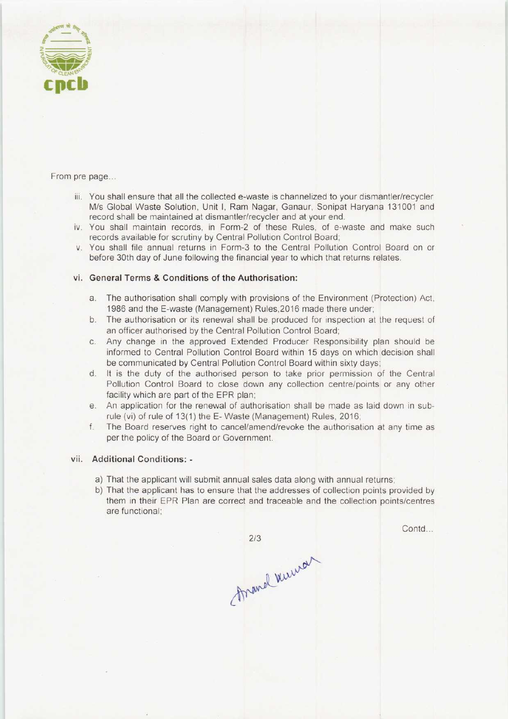

From pre page...

- iii. You shall ensure that all the collected e-waste is channelized to your dismantler/recycler M/s Global Waste Solution, Unit I, Ram Nagar, Ganaur, Sonipat Haryana 131001 and record shall be maintained at dismantler/recycler and at your end.
- iv. You shall maintain records, in Form-2 of these Rules, of e-waste and make such records available for scrutiny by Central Pollution Control Board;
- v. You shall file annual returns in Form-3 to the Central Pollution Control Board on or before 30th day of June following the financial year to which that returns relates.

#### vi. General Terms & Conditions of the Authorisation:

- a.The authorisation shall comply with provisions of the Environment (Protection) Act, 1986 and the E-waste (Management) Rules,2016 made there under;
- b.The authorisation or its renewal shall be produced for inspection at the request of an officer authorised by the Central Pollution Control Board;
- c.Any change in the approved Extended Producer Responsibility plan should be informed to Central Pollution Control Board within 15 days on which decision shall be communicated by Central Pollution Control Board within sixty days;
- d. It is the duty of the authorised person to take prior permission of the Central Pollution Control Board to close down any collection centre/points or any other facility which are part of the EPR plan;
- e.An application for the renewal of authorisation shall be made as laid down in subrule (vi) of rule of 13(1) the E-Waste (Management) Rules, 2016;
- f.The Board reserves right to cancel/amend/revoke the authorisation at any time as per the policy of the Board or Government.

#### vii. Additional Conditions: -

- a) That the applicant will submit annual sales data along with annual returns;
- b)That the applicant has to ensure that the addresses of collection points provided by them in their EPR Plan are correct and traceable and the collection points/centres are functional;

 $2/3$ Arand Werner Contd...